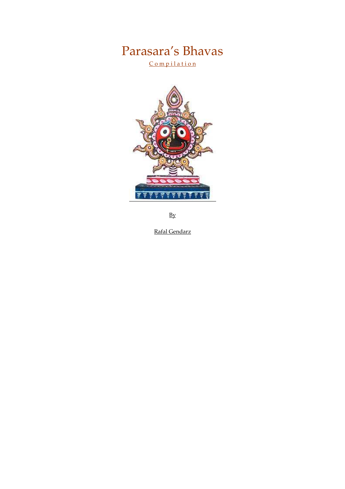# Parasara's Bhavas

Compilation



By

Rafal Gendarz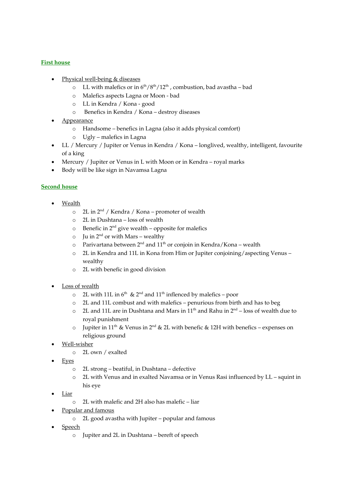## First house

- Physical well-being & diseases
	- $\circ$  LL with malefics or in  $6<sup>th</sup>/8<sup>th</sup>/12<sup>th</sup>$ , combustion, bad avastha bad
	- o Malefics aspects Lagna or Moon bad
	- o LL in Kendra / Kona good
	- o Benefics in Kendra / Kona destroy diseases
- **Appearance** 
	- o Handsome benefics in Lagna (also it adds physical comfort)
	- o Ugly malefics in Lagna
- LL / Mercury / Jupiter or Venus in Kendra / Kona longlived, wealthy, intelligent, favourite of a king
- Mercury / Jupiter or Venus in L with Moon or in Kendra royal marks
- Body will be like sign in Navamsa Lagna

#### Second house

- Wealth
	- $\circ$  2L in 2<sup>nd</sup> / Kendra / Kona promoter of wealth
	- o 2L in Dushtana loss of wealth
	- $\circ$  Benefic in 2<sup>nd</sup> give wealth opposite for malefics
	- $\circ$  Ju in 2<sup>nd</sup> or with Mars wealthy
	- $\circ$  Parivartana between 2<sup>nd</sup> and 11<sup>th</sup> or conjoin in Kendra/Kona wealth
	- o 2L in Kendra and 11L in Kona from Him or Jupiter conjoining/aspecting Venus wealthy
	- o 2L with benefic in good division
- Loss of wealth
	- $\circ$  2L with 11L in 6<sup>th</sup> & 2<sup>nd</sup> and 11<sup>th</sup> inflenced by malefics poor
	- o 2L and 11L combust and with malefics penurious from birth and has to beg
	- $\circ$  2L and 11L are in Dushtana and Mars in 11<sup>th</sup> and Rahu in  $2<sup>nd</sup>$  loss of wealth due to royal punishment
	- o Jupiter in 11<sup>th</sup> & Venus in 2<sup>nd</sup> & 2L with benefic & 12H with benefics expenses on religious ground
- Well-wisher
	- o 2L own / exalted
- Eyes
	- o 2L strong beatiful, in Dushtana defective
	- o 2L with Venus and in exalted Navamsa or in Venus Rasi influenced by LL squint in his eye
- Liar
	- o 2L with malefic and 2H also has malefic liar
- Popular and famous
	- o 2L good avastha with Jupiter popular and famous
- Speech
	- o Jupiter and 2L in Dushtana bereft of speech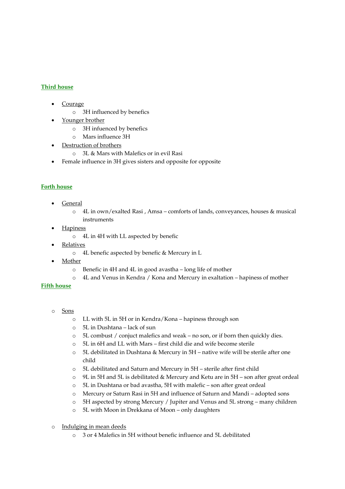## Third house

- **Courage** 
	- o 3H influenced by benefics
- Younger brother
	- o 3H infuenced by benefics
	- o Mars influence 3H
- Destruction of brothers
	- o 3L & Mars with Malefics or in evil Rasi
- Female influence in 3H gives sisters and opposite for opposite

## Forth house

- General
	- o 4L in own/exalted Rasi , Amsa comforts of lands, conveyances, houses & musical instruments
- **Hapiness** 
	- o 4L in 4H with LL aspected by benefic
- **Relatives** 
	- o 4L benefic aspected by benefic & Mercury in L
- Mother
	- o Benefic in 4H and 4L in good avastha long life of mother
	- o 4L and Venus in Kendra / Kona and Mercury in exaltation hapiness of mother

#### Fifth house

- o Sons
	- o LL with 5L in 5H or in Kendra/Kona hapiness through son
	- o 5L in Dushtana lack of sun
	- o 5L combust / conjuct malefics and weak no son, or if born then quickly dies.
	- o 5L in 6H and LL with Mars first child die and wife become sterile
	- o 5L debilitated in Dushtana & Mercury in 5H native wife will be sterile after one child
	- o 5L debilitated and Saturn and Mercury in 5H sterile after first child
	- o 9L in 5H and 5L is debilitated & Mercury and Ketu are in 5H son after great ordeal
	- o 5L in Dushtana or bad avastha, 5H with malefic son after great ordeal
	- o Mercury or Saturn Rasi in 5H and influence of Saturn and Mandi adopted sons
	- o 5H aspected by strong Mercury / Jupiter and Venus and 5L strong many children
	- o 5L with Moon in Drekkana of Moon only daughters
- o Indulging in mean deeds
	- o 3 or 4 Malefics in 5H without benefic influence and 5L debilitated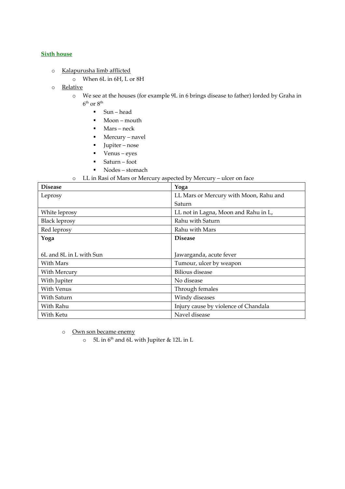#### **Sixth house**

- o Kalapurusha limb afflicted
	- o When 6L in 6H, L or 8H
- o Relative
	- o We see at the houses (for example 9L in 6 brings disease to father) lorded by Graha in  $6^{\text{th}}$  or  $8^{\text{th}}$ 
		- Sun head
		- Moon mouth
		- Mars neck
		- Mercury navel
		- Jupiter nose
		- Venus eyes
		- Saturn foot
		- Nodes stomach

#### o LL in Rasi of Mars or Mercury aspected by Mercury – ulcer on face

| <b>Disease</b>          | Yoga                                   |
|-------------------------|----------------------------------------|
| Leprosy                 | LL Mars or Mercury with Moon, Rahu and |
|                         | Saturn                                 |
| White leprosy           | LL not in Lagna, Moon and Rahu in L,   |
| <b>Black leprosy</b>    | Rahu with Saturn                       |
| Red leprosy             | Rahu with Mars                         |
| Yoga                    | <b>Disease</b>                         |
|                         |                                        |
| 6L and 8L in L with Sun | Jawarganda, acute fever                |
| With Mars               | Tumour, ulcer by weapon                |
| With Mercury            | <b>Bilious</b> disease                 |
| With Jupiter            | No disease                             |
| With Venus              | Through females                        |
| With Saturn             | Windy diseases                         |
| With Rahu               | Injury cause by violence of Chandala   |
| With Ketu               | Navel disease                          |

o Own son became enemy

 $\circ$  5L in 6<sup>th</sup> and 6L with Jupiter & 12L in L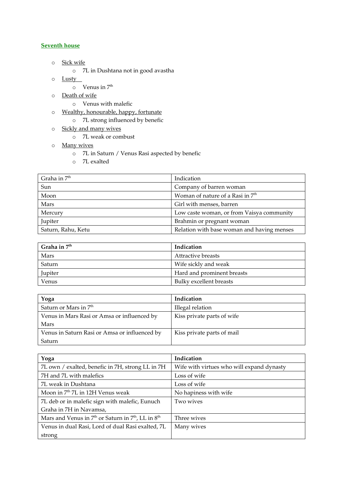## Seventh house

- o Sick wife
	- o 7L in Dushtana not in good avastha
- o Lusty
	- $\circ$  Venus in  $7<sup>th</sup>$
- o Death of wife
	- o Venus with malefic
- o Wealthy, honourable, happy, fortunate
	- o 7L strong influenced by benefic
- o Sickly and many wives
	- o 7L weak or combust
- o Many wives
	- o 7L in Saturn / Venus Rasi aspected by benefic
	- o 7L exalted

| Graha in 7 <sup>th</sup> | Indication                                   |
|--------------------------|----------------------------------------------|
| Sun                      | Company of barren woman                      |
| Moon                     | Woman of nature of a Rasi in 7 <sup>th</sup> |
| Mars                     | Girl with menses, barren                     |
| Mercury                  | Low caste woman, or from Vaisya community    |
| Jupiter                  | Brahmin or pregnant woman                    |
| Saturn, Rahu, Ketu       | Relation with base woman and having menses   |

| Graha in $7th$ | Indication                 |
|----------------|----------------------------|
| Mars           | Attractive breasts         |
| Saturn         | Wife sickly and weak       |
| Jupiter        | Hard and prominent breasts |
| Venus          | Bulky excellent breasts    |

| Yoga                                          | Indication                 |
|-----------------------------------------------|----------------------------|
| Saturn or Mars in 7 <sup>th</sup>             | Illegal relation           |
| Venus in Mars Rasi or Amsa or influenced by   | Kiss private parts of wife |
| Mars                                          |                            |
| Venus in Saturn Rasi or Amsa or influenced by | Kiss private parts of mail |
| Saturn                                        |                            |

| Yoga                                                     | Indication                                |
|----------------------------------------------------------|-------------------------------------------|
| 7L own / exalted, benefic in 7H, strong LL in 7H         | Wife with virtues who will expand dynasty |
| 7H and 7L with malefics                                  | Loss of wife                              |
| 7L weak in Dushtana                                      | Loss of wife                              |
| Moon in 7 <sup>th</sup> 7L in 12H Venus weak             | No hapiness with wife                     |
| 7L deb or in malefic sign with malefic, Eunuch           | Two wives                                 |
| Graha in 7H in Navamsa,                                  |                                           |
| Mars and Venus in $7th$ or Saturn in $7th$ , LL in $8th$ | Three wives                               |
| Venus in dual Rasi, Lord of dual Rasi exalted, 7L        | Many wives                                |
| strong                                                   |                                           |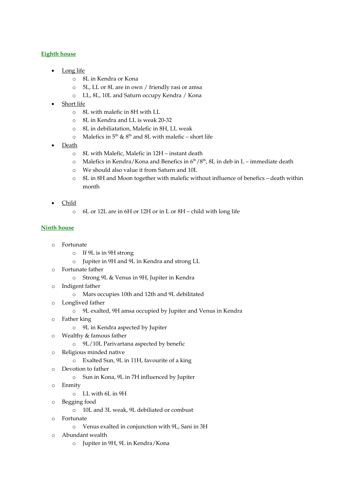## Eighth house

- Long life
	- o 8L in Kendra or Kona
	- o 5L, LL or 8L are in own / friendly rasi or amsa
	- o LL, 8L, 10L and Saturn occupy Kendra / Kona
- **Short life** 
	- o 8L with malefic in 8H with LL
	- o 8L in Kendra and LL is weak 20-32
	- o 8L in debiliatation, Malefic in 8H, LL weak
	- $\circ$  Malefics in 5<sup>th</sup> & 8<sup>th</sup> and 8L with malefic short life
- Death
	- o 8L with Malefic, Malefic in 12H instant death
	- o Malefics in Kendra/Kona and Benefics in  $6<sup>th</sup>/8<sup>th</sup>$ , 8L in deb in L immediate death
	- o We should also value it from Saturn and 10L
	- o 8L in 8H and Moon together with malefic without influence of benefics death within month
- Child
	- o 6L or 12L are in 6H or 12H or in L or 8H child with long life

## Ninth house

- o Fortunate
	- o If 9L is in 9H strong
	- o Jupiter in 9H and 9L in Kendra and strong LL
- o Fortunate father
	- o Strong 9L & Venus in 9H, Jupiter in Kendra
- o Indigent father
	- o Mars occupies 10th and 12th and 9L debilitated
- o Longlived father
	- o 9L exalted, 9H amsa occupied by Jupiter and Venus in Kendra
- o Father king
	- o 9L in Kendra aspected by Jupiter
- o Wealthy & famous father
	- o 9L/10L Parivartana aspected by benefic
- o Religious minded native
	- o Exalted Sun, 9L in 11H, favourite of a king
- o Devotion to father
	- o Sun in Kona, 9L in 7H influenced by Jupiter
- o Enmity
	- o LL with 6L in 9H
- o Begging food
	- o 10L and 3L weak, 9L debiliated or combust
- o Fortunate
	- o Venus exalted in conjunction with 9L, Sani in 3H
- o Abundant wealth
	- o Jupiter in 9H, 9L in Kendra/Kona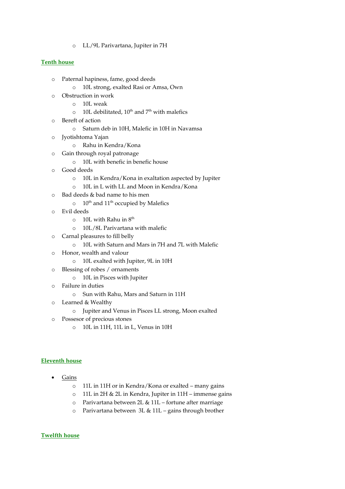o LL/9L Parivartana, Jupiter in 7H

#### Tenth house

- o Paternal hapiness, fame, good deeds
	- o 10L strong, exalted Rasi or Amsa, Own
- o Obstruction in work
	- o 10L weak
	- $\circ$  10L debilitated, 10<sup>th</sup> and 7<sup>th</sup> with malefics
- o Bereft of action
	- o Saturn deb in 10H, Malefic in 10H in Navamsa
- o Jyotishtoma Yajan
	- o Rahu in Kendra/Kona
- o Gain through royal patronage
	- o 10L with benefic in benefic house
- o Good deeds
	- o 10L in Kendra/Kona in exaltation aspected by Jupiter
	- o 10L in L with LL and Moon in Kendra/Kona
- o Bad deeds & bad name to his men
	- $\circ$  10<sup>th</sup> and 11<sup>th</sup> occupied by Malefics
- o Evil deeds
	- $\circ$  10L with Rahu in  $8<sup>th</sup>$
	- o 10L/8L Parivartana with malefic
- o Carnal pleasures to fill belly
	- o 10L with Saturn and Mars in 7H and 7L with Malefic
- o Honor, wealth and valour
	- o 10L exalted with Jupiter, 9L in 10H
- o Blessing of robes / ornaments
	- o 10L in Pisces with Jupiter
- o Failure in duties
	- o Sun with Rahu, Mars and Saturn in 11H
- o Learned & Wealthy
	- o Jupiter and Venus in Pisces LL strong, Moon exalted
- o Possesor of precious stones
	- o 10L in 11H, 11L in L, Venus in 10H

#### Eleventh house

- Gains
	- o 11L in 11H or in Kendra/Kona or exalted many gains
	- o 11L in 2H & 2L in Kendra, Jupiter in 11H immense gains
	- o Parivartana between 2L & 11L fortune after marriage
	- o Parivartana between 3L & 11L gains through brother

#### Twelfth house